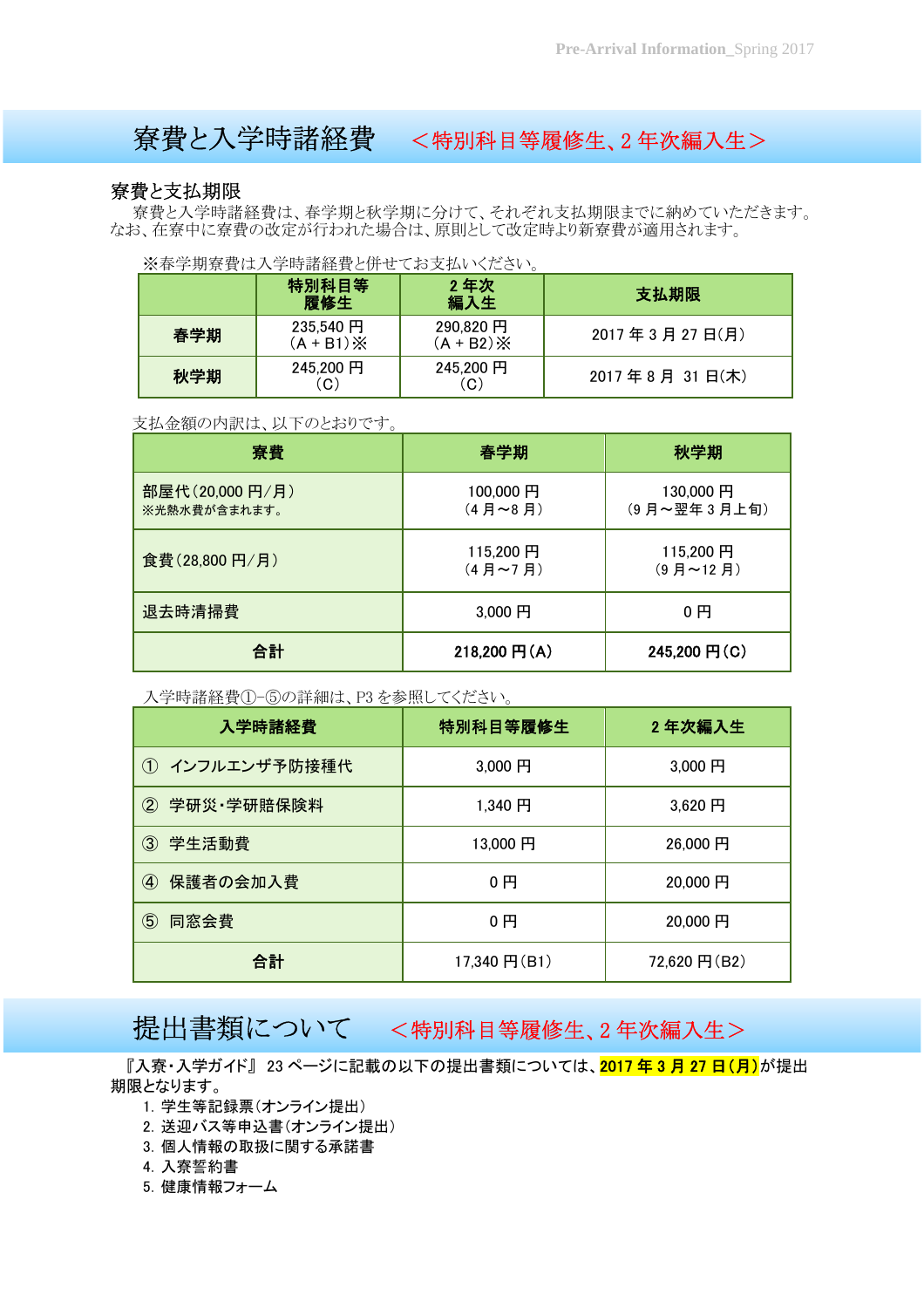# 寮費と入学時諸経費 <特別科目等履修生、2 年次編入生>

### 寮費と支払期限

 寮費と入学時諸経費は、春学期と秋学期に分けて、それぞれ支払期限までに納めていただきます。 なお、在寮中に寮費の改定が行われた場合は、原則として改定時より新寮費が適用されます。

Ξ

※春学期寮費は入学時諸経費と併せてお支払いください。

|     | 特別科目等<br>履修生            | 2年次<br>編入生                       | 支払期限           |
|-----|-------------------------|----------------------------------|----------------|
| 春学期 | 235,540 円<br>$(A + B1)$ | 290,820 円<br>$(A + B2)$ $\times$ | 2017年3月27日(月)  |
| 秋学期 | 245,200円<br>C)          | 245,200円<br>(C)                  | 2017年8月 31日(木) |

#### 支払金額の内訳は、以下のとおりです。

| 寮費                             | 春学期                           | 秋学期                     |
|--------------------------------|-------------------------------|-------------------------|
| 部屋代(20,000円/月)<br>※光熱水費が含まれます。 | 100,000円<br>$(4$ 月~8月)        | 130,000円<br>(9月~翌年3月上旬) |
| 食費(28,800円/月)                  | 115,200円<br>$(4$ 月 $\sim$ 7 月 | 115,200円<br>$(9$ 月~12 月 |
| 退去時清掃費                         | 3,000円                        | 0円                      |
| 合計                             | 218,200 円(A)                  | 245,200 円(C)            |

入学時諸経費①-⑤の詳細は、P3 を参照してください。

| 入学時諸経費               | 特別科目等履修生       | 2年次編入生       |
|----------------------|----------------|--------------|
| ① インフルエンザ予防接種代       | 3,000 円        | 3,000 円      |
| 2 学研災·学研賠保険料         | 1.340 円        | 3.620 円      |
| ③ 学生活動費              | 13,000円        | 26,000円      |
| 保護者の会加入費<br>$\bf(4)$ | 0円             | 20,000円      |
| $\circledS$<br>同窓会費  | 0 <sub>1</sub> | 20,000円      |
| 合計                   | 17,340 円(B1)   | 72,620 円(B2) |

## 提出書類について <特別科目等履修生、2年次編入生>

『入寮・入学ガイド』 23 ページに記載の以下の提出書類については、2017 年 3 月 27 日(月)が提出 期限となります。

- 1.学生等記録票(オンライン提出)
- 2.送迎バス等申込書(オンライン提出)
- 3.個人情報の取扱に関する承諾書
- 4.入寮誓約書
- 5.健康情報フォーム